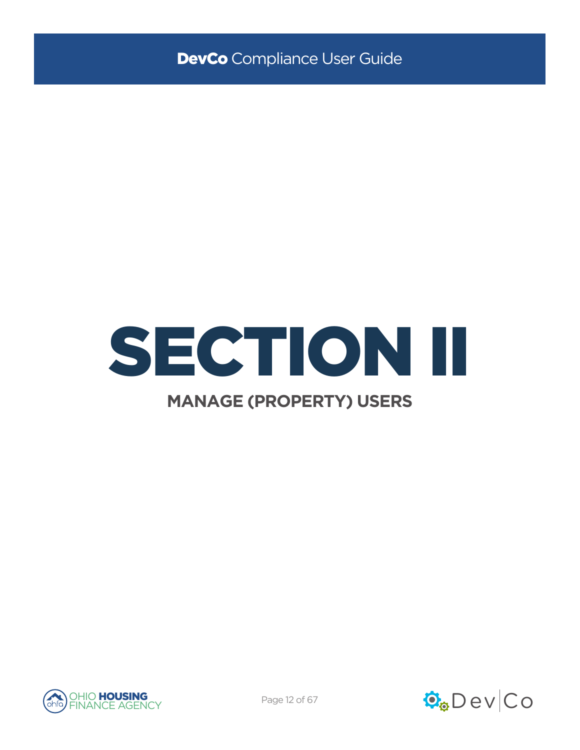



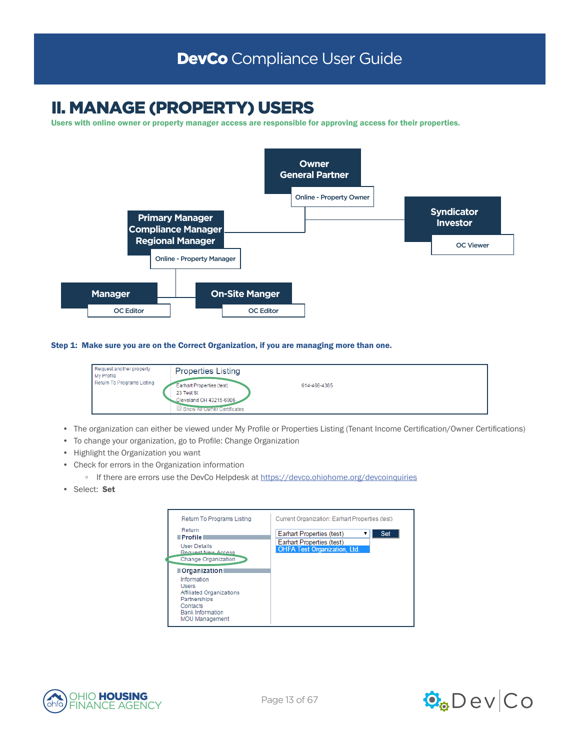# II. MANAGE (PROPERTY) USERS

Users with online owner or property manager access are responsible for approving access for their properties.



Step 1: Make sure you are on the Correct Organization, if you are managing more than one.



- The organization can either be viewed under My Profile or Properties Listing (Tenant Income Certification/Owner Certifications)
- To change your organization, go to Profile: Change Organization
- Highlight the Organization you want
- Check for errors in the Organization information
	- If there are errors use the DevCo Helpdesk at<https://devco.ohiohome.org/devcoinquiries>
- Select: Set